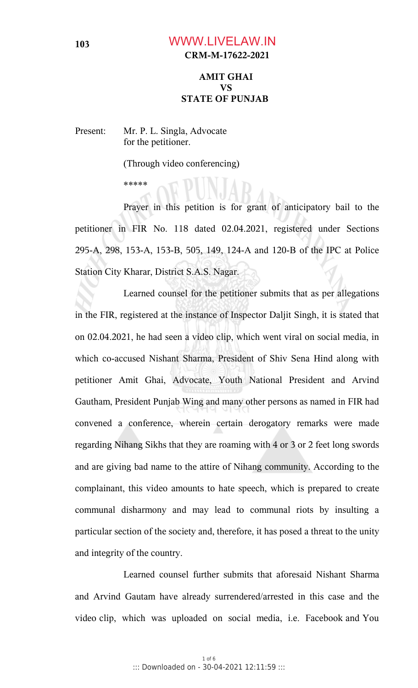## **CRM-M-17622-2021** WWW.LIVELAW.IN

#### **AMIT GHAI VS STATE OF PUNJAB**

Present: Mr. P. L. Singla, Advocate for the petitioner.

(Through video conferencing)

\*\*\*\*\*

Prayer in this petition is for grant of anticipatory bail to the petitioner in FIR No. 118 dated 02.04.2021, registered under Sections 295-A, 298, 153-A, 153-B, 505, 149, 124-A and 120-B of the IPC at Police Station City Kharar, District S.A.S. Nagar.

Learned counsel for the petitioner submits that as per allegations in the FIR, registered at the instance of Inspector Daljit Singh, it is stated that on 02.04.2021, he had seen a video clip, which went viral on social media, in which co-accused Nishant Sharma, President of Shiv Sena Hind along with petitioner Amit Ghai, Advocate, Youth National President and Arvind Gautham, President Punjab Wing and many other persons as named in FIR had convened a conference, wherein certain derogatory remarks were made regarding Nihang Sikhs that they are roaming with 4 or 3 or 2 feet long swords and are giving bad name to the attire of Nihang community. According to the complainant, this video amounts to hate speech, which is prepared to create communal disharmony and may lead to communal riots by insulting a particular section of the society and, therefore, it has posed a threat to the unity and integrity of the country.

Learned counsel further submits that aforesaid Nishant Sharma and Arvind Gautam have already surrendered/arrested in this case and the video clip, which was uploaded on social media, i.e. Facebook and You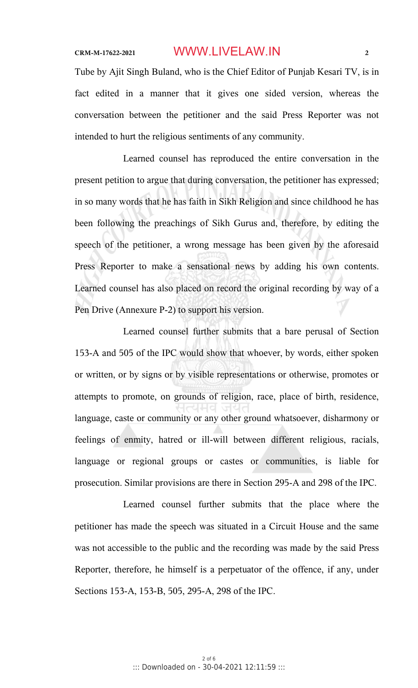## **CRM-M-17622-2021 2** WWW.LIVELAW.IN

Tube by Ajit Singh Buland, who is the Chief Editor of Punjab Kesari TV, is in fact edited in a manner that it gives one sided version, whereas the conversation between the petitioner and the said Press Reporter was not intended to hurt the religious sentiments of any community.

Learned counsel has reproduced the entire conversation in the present petition to argue that during conversation, the petitioner has expressed; in so many words that he has faith in Sikh Religion and since childhood he has been following the preachings of Sikh Gurus and, therefore, by editing the speech of the petitioner, a wrong message has been given by the aforesaid Press Reporter to make a sensational news by adding his own contents. Learned counsel has also placed on record the original recording by way of a Pen Drive (Annexure P-2) to support his version.

Learned counsel further submits that a bare perusal of Section 153-A and 505 of the IPC would show that whoever, by words, either spoken or written, or by signs or by visible representations or otherwise, promotes or attempts to promote, on grounds of religion, race, place of birth, residence, language, caste or community or any other ground whatsoever, disharmony or feelings of enmity, hatred or ill-will between different religious, racials, language or regional groups or castes or communities, is liable for prosecution. Similar provisions are there in Section 295-A and 298 of the IPC.

Learned counsel further submits that the place where the petitioner has made the speech was situated in a Circuit House and the same was not accessible to the public and the recording was made by the said Press Reporter, therefore, he himself is a perpetuator of the offence, if any, under Sections 153-A, 153-B, 505, 295-A, 298 of the IPC.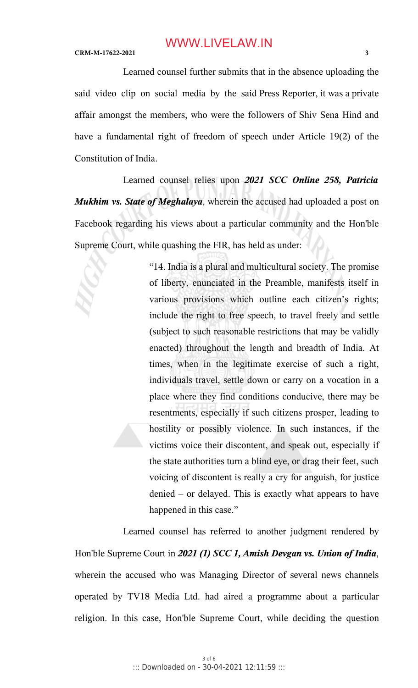Learned counsel further submits that in the absence uploading the said video clip on social media by the said Press Reporter, it was a private affair amongst the members, who were the followers of Shiv Sena Hind and have a fundamental right of freedom of speech under Article 19(2) of the Constitution of India.

Learned counsel relies upon *2021 SCC Online 258, Patricia Mukhim vs. State of Meghalaya*, wherein the accused had uploaded a post on Facebook regarding his views about a particular community and the Hon'ble Supreme Court, while quashing the FIR, has held as under:

> "14. India is a plural and multicultural society. The promise of liberty, enunciated in the Preamble, manifests itself in various provisions which outline each citizen's rights; include the right to free speech, to travel freely and settle (subject to such reasonable restrictions that may be validly enacted) throughout the length and breadth of India. At times, when in the legitimate exercise of such a right, individuals travel, settle down or carry on a vocation in a place where they find conditions conducive, there may be resentments, especially if such citizens prosper, leading to hostility or possibly violence. In such instances, if the victims voice their discontent, and speak out, especially if the state authorities turn a blind eye, or drag their feet, such voicing of discontent is really a cry for anguish, for justice denied – or delayed. This is exactly what appears to have happened in this case."

Learned counsel has referred to another judgment rendered by Hon'ble Supreme Court in *2021 (1) SCC 1, Amish Devgan vs. Union of India*, wherein the accused who was Managing Director of several news channels operated by TV18 Media Ltd. had aired a programme about a particular religion. In this case, Hon'ble Supreme Court, while deciding the question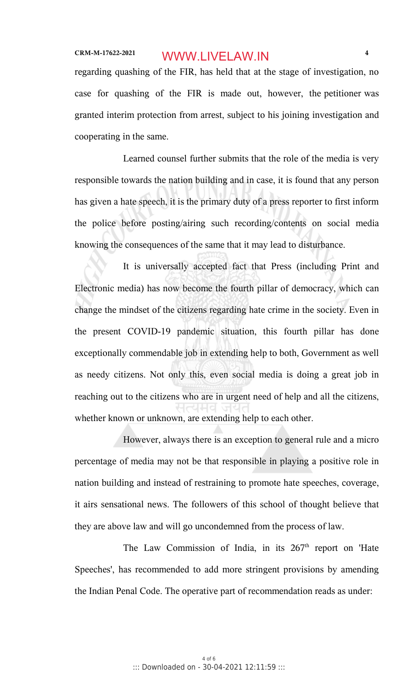# **CRM-M-17622-2021 4** WWW.LIVELAW.IN

regarding quashing of the FIR, has held that at the stage of investigation, no case for quashing of the FIR is made out, however, the petitioner was granted interim protection from arrest, subject to his joining investigation and cooperating in the same.

Learned counsel further submits that the role of the media is very responsible towards the nation building and in case, it is found that any person has given a hate speech, it is the primary duty of a press reporter to first inform the police before posting/airing such recording/contents on social media knowing the consequences of the same that it may lead to disturbance.

It is universally accepted fact that Press (including Print and Electronic media) has now become the fourth pillar of democracy, which can change the mindset of the citizens regarding hate crime in the society. Even in the present COVID-19 pandemic situation, this fourth pillar has done exceptionally commendable job in extending help to both, Government as well as needy citizens. Not only this, even social media is doing a great job in reaching out to the citizens who are in urgent need of help and all the citizens, whether known or unknown, are extending help to each other.

However, always there is an exception to general rule and a micro percentage of media may not be that responsible in playing a positive role in nation building and instead of restraining to promote hate speeches, coverage, it airs sensational news. The followers of this school of thought believe that they are above law and will go uncondemned from the process of law.

The Law Commission of India, in its  $267<sup>th</sup>$  report on 'Hate Speeches', has recommended to add more stringent provisions by amending the Indian Penal Code. The operative part of recommendation reads as under: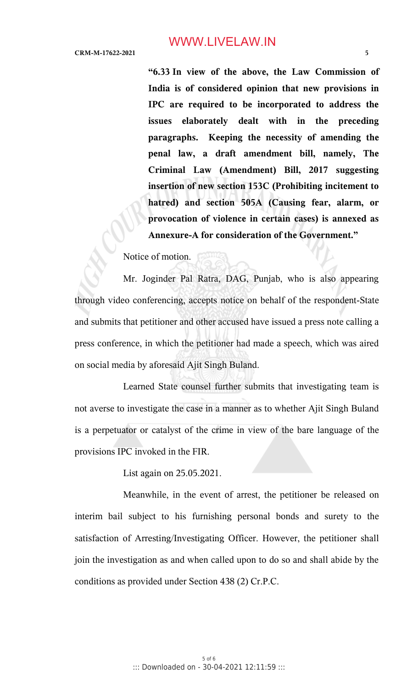**"6.33 In view of the above, the Law Commission of India is of considered opinion that new provisions in IPC are required to be incorporated to address the issues elaborately dealt with in the preceding paragraphs. Keeping the necessity of amending the penal law, a draft amendment bill, namely, The Criminal Law (Amendment) Bill, 2017 suggesting insertion of new section 153C (Prohibiting incitement to hatred) and section 505A (Causing fear, alarm, or provocation of violence in certain cases) is annexed as Annexure-A for consideration of the Government."**

Notice of motion.

Mr. Joginder Pal Ratra, DAG, Punjab, who is also appearing through video conferencing, accepts notice on behalf of the respondent-State and submits that petitioner and other accused have issued a press note calling a press conference, in which the petitioner had made a speech, which was aired on social media by aforesaid Ajit Singh Buland.

Learned State counsel further submits that investigating team is not averse to investigate the case in a manner as to whether Ajit Singh Buland is a perpetuator or catalyst of the crime in view of the bare language of the provisions IPC invoked in the FIR.

List again on 25.05.2021.

Meanwhile, in the event of arrest, the petitioner be released on interim bail subject to his furnishing personal bonds and surety to the satisfaction of Arresting/Investigating Officer. However, the petitioner shall join the investigation as and when called upon to do so and shall abide by the conditions as provided under Section 438 (2) Cr.P.C.